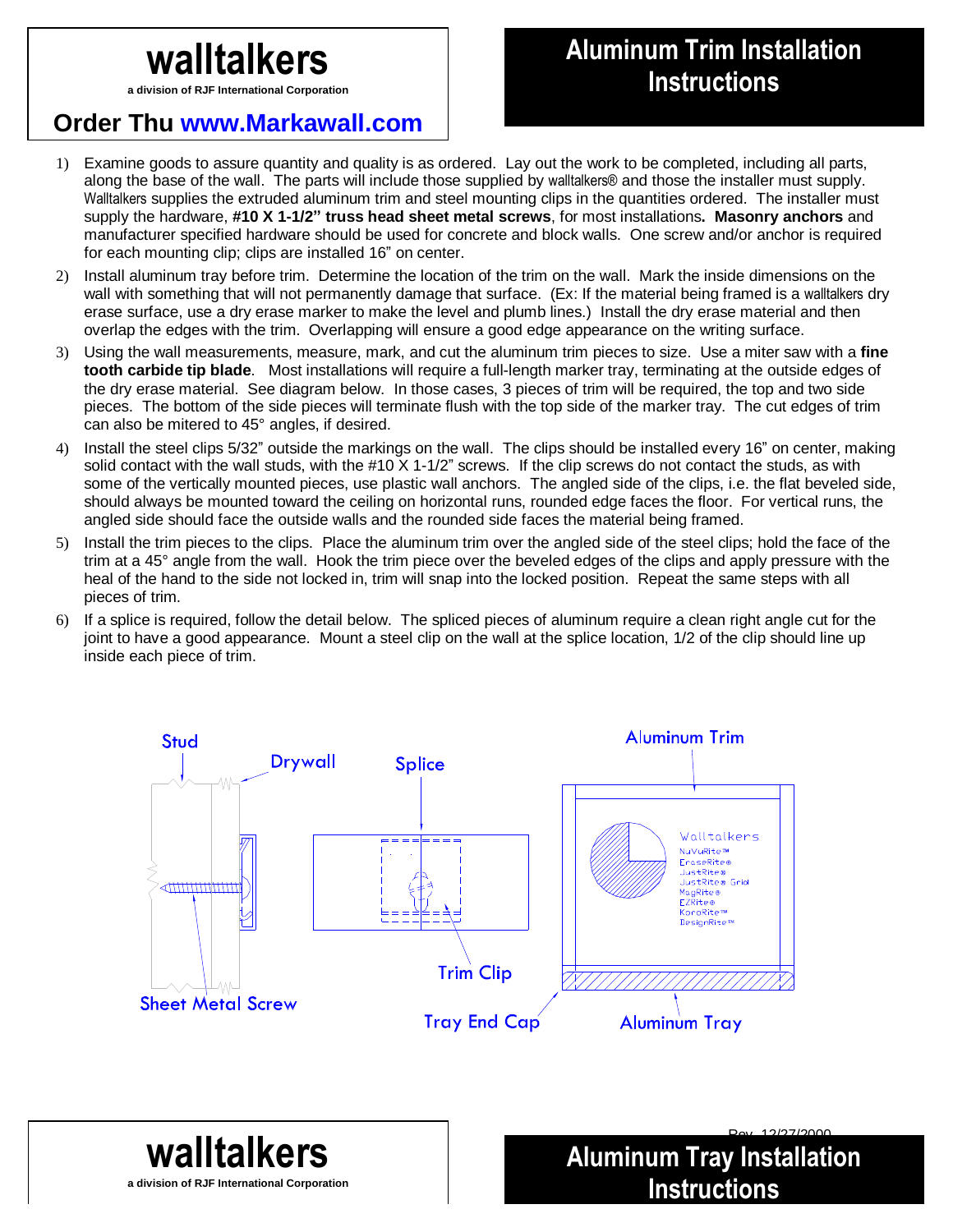**a division of RJF International Corporation**

## **Order Thu www.Markawall.com**

## **Aluminum Trim Installation**<br>
Vision of RJF International Corporation<br> **Instructions**

**Aluminum Tray Installation** 

**Instructions**

- 1) Examine goods to assure quantity and quality is as ordered. Lay out the work to be completed, including all parts, along the base of the wall. The parts will include those supplied by walltalkers® and those the installer must supply. Walltalkers supplies the extruded aluminum trim and steel mounting clips in the quantities ordered. The installer must supply the hardware, **#10 X 1-1/2" truss head sheet metal screws**, for most installations**. Masonry anchors** and manufacturer specified hardware should be used for concrete and block walls. One screw and/or anchor is required for each mounting clip; clips are installed 16" on center.
- 2) Install aluminum tray before trim. Determine the location of the trim on the wall. Mark the inside dimensions on the wall with something that will not permanently damage that surface. (Ex: If the material being framed is a walltalkers dry erase surface, use a dry erase marker to make the level and plumb lines.) Install the dry erase material and then overlap the edges with the trim. Overlapping will ensure a good edge appearance on the writing surface.
- 3) Using the wall measurements, measure, mark, and cut the aluminum trim pieces to size. Use a miter saw with a **fine tooth carbide tip blade**. Most installations will require a full-length marker tray, terminating at the outside edges of the dry erase material. See diagram below. In those cases, 3 pieces of trim will be required, the top and two side pieces. The bottom of the side pieces will terminate flush with the top side of the marker tray. The cut edges of trim can also be mitered to 45° angles, if desired.
- 4) Install the steel clips 5/32" outside the markings on the wall. The clips should be installed every 16" on center, making solid contact with the wall studs, with the #10 X 1-1/2" screws. If the clip screws do not contact the studs, as with some of the vertically mounted pieces, use plastic wall anchors. The angled side of the clips, i.e. the flat beveled side, should always be mounted toward the ceiling on horizontal runs, rounded edge faces the floor. For vertical runs, the angled side should face the outside walls and the rounded side faces the material being framed.
- 5) Install the trim pieces to the clips. Place the aluminum trim over the angled side of the steel clips; hold the face of the trim at a 45° angle from the wall. Hook the trim piece over the beveled edges of the clips and apply pressure with the heal of the hand to the side not locked in, trim will snap into the locked position. Repeat the same steps with all pieces of trim.
- 6) If a splice is required, follow the detail below. The spliced pieces of aluminum require a clean right angle cut for the joint to have a good appearance. Mount a steel clip on the wall at the splice location, 1/2 of the clip should line up inside each piece of trim.